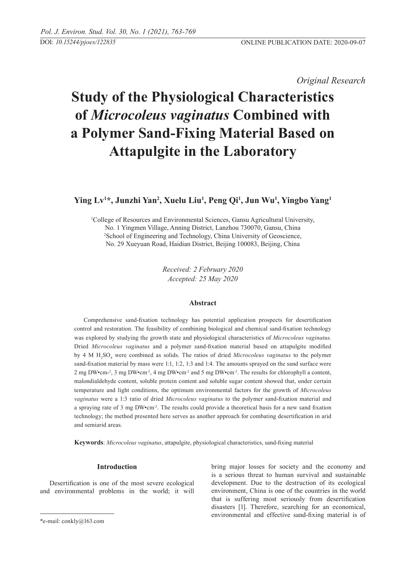*Original Research* 

# **Study of the Physiological Characteristics of** *Microcoleus vaginatus* **Combined with a Polymer Sand-Fixing Material Based on Attapulgite in the Laboratory**

# **Ying Lv1 \*, Junzhi Yan2 , Xuelu Liu1 , Peng Qi1 , Jun Wu1 , Yingbo Yang1**

1 College of Resources and Environmental Sciences, Gansu Agricultural University, No. 1 Yingmen Village, Anning District, Lanzhou 730070, Gansu, China 2 School of Engineering and Technology, China University of Geoscience, No. 29 Xueyuan Road, Haidian District, Beijing 100083, Beijing, China

> *Received: 2 February 2020 Accepted: 25 May 2020*

#### **Abstract**

Comprehensive sand-fixation technology has potential application prospects for desertification control and restoration. The feasibility of combining biological and chemical sand-fixation technology was explored by studying the growth state and physiological characteristics of *Microcoleus vaginatus*. Dried *Microcoleus vaginatus* and a polymer sand-fixation material based on attapulgite modified by 4 M H<sub>2</sub>SO<sub>4</sub> were combined as solids. The ratios of dried *Microcoleus vaginatus* to the polymer sand-fixation material by mass were 1:1, 1:2, 1:3 and 1:4. The amounts sprayed on the sand surface were 2 mg DW•cm<sup>-2</sup>, 3 mg DW•cm<sup>-2</sup>, 4 mg DW•cm<sup>-2</sup> and 5 mg DW•cm<sup>-2</sup>. The results for chlorophyll a content, malondialdehyde content, soluble protein content and soluble sugar content showed that, under certain temperature and light conditions, the optimum environmental factors for the growth of *Microcoleus vaginatus* were a 1:3 ratio of dried *Microcoleus vaginatus* to the polymer sand-fixation material and a spraying rate of 3 mg DW•cm<sup>-2</sup>. The results could provide a theoretical basis for a new sand fixation technology; the method presented here serves as another approach for combating desertification in arid and semiarid areas.

**Keywords**: *Microcoleus vaginatus*, attapulgite, physiological characteristics, sand-fixing material

# **Introduction**

Desertification is one of the most severe ecological and environmental problems in the world; it will bring major losses for society and the economy and is a serious threat to human survival and sustainable development. Due to the destruction of its ecological environment, China is one of the countries in the world that is suffering most seriously from desertification disasters [1]. Therefore, searching for an economical, environmental and effective sand-fixing material is of

<sup>\*</sup>e-mail: conkly@163.com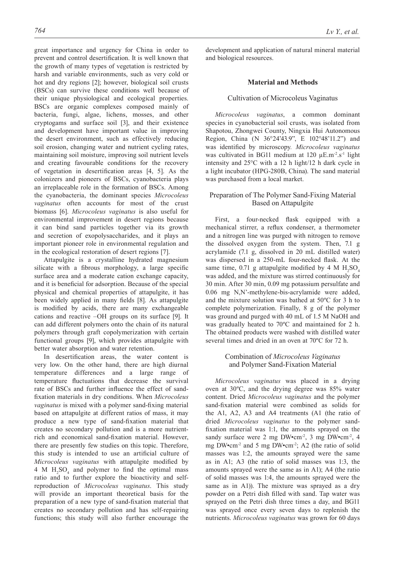great importance and urgency for China in order to prevent and control desertification. It is well known that the growth of many types of vegetation is restricted by harsh and variable environments, such as very cold or hot and dry regions [2]; however, biological soil crusts (BSCs) can survive these conditions well because of their unique physiological and ecological properties. BSCs are organic complexes composed mainly of bacteria, fungi, algae, lichens, mosses, and other cryptogams and surface soil [3], and their existence and development have important value in improving the desert environment, such as effectively reducing soil erosion, changing water and nutrient cycling rates, maintaining soil moisture, improving soil nutrient levels and creating favourable conditions for the recovery of vegetation in desertification areas [4, 5]. As the colonizers and pioneers of BSCs, cyanobacteria plays an irreplaceable role in the formation of BSCs. Among the cyanobacteria, the dominant species *Microcoleus vaginatus* often accounts for most of the crust biomass [6]. *Microcoleus vaginatus* is also useful for environmental improvement in desert regions because it can bind sand particles together via its growth and secretion of exopolysaccharides, and it plays an important pioneer role in environmental regulation and in the ecological restoration of desert regions [7].

Attapulgite is a crystalline hydrated magnesium silicate with a fibrous morphology, a large specific surface area and a moderate cation exchange capacity, and it is beneficial for adsorption. Because of the special physical and chemical properties of attapulgite, it has been widely applied in many fields [8]. As attapulgite is modified by acids, there are many exchangeable cations and reactive –OH groups on its surface [9]. It can add different polymers onto the chain of its natural polymers through graft copolymerization with certain functional groups [9], which provides attapulgite with better water absorption and water retention.

In desertification areas, the water content is very low. On the other hand, there are high diurnal temperature differences and a large range of temperature fluctuations that decrease the survival rate of BSCs and further influence the effect of sandfixation materials in dry conditions. When *Microcoleus vaginatus* is mixed with a polymer sand-fixing material based on attapulgite at different ratios of mass, it may produce a new type of sand-fixation material that creates no secondary pollution and is a more nutrientrich and economical sand-fixation material. However, there are presently few studies on this topic. Therefore, this study is intended to use an artificial culture of *Microcoleus vaginatus* with attapulgite modified by  $4 \text{ M H}_2\text{SO}_4$  and polymer to find the optimal mass ratio and to further explore the bioactivity and selfreproduction of *Microcoleus vaginatus*. This study will provide an important theoretical basis for the preparation of a new type of sand-fixation material that creates no secondary pollution and has self-repairing functions; this study will also further encourage the

development and application of natural mineral material and biological resources.

#### **Material and Methods**

### Cultivation of Microcoleus Vaginatus

*Microcoleus vaginatus*, a common dominant species in cyanobacterial soil crusts, was isolated from Shapotou, Zhongwei County, Ningxia Hui Autonomous Region, China (N 36°24'43.9", E 102°48'11.2") and was identified by microscopy*. Microcoleus vaginatus* was cultivated in BG11 medium at  $120 \mu E.m^{-2}.s^{-1}$  light intensity and 25°C with a 12 h light/12 h dark cycle in a light incubator (HPG-280B, China). The sand material was purchased from a local market.

# Preparation of The Polymer Sand-Fixing Material Based on Attapulgite

First, a four-necked flask equipped with a mechanical stirrer, a reflux condenser, a thermometer and a nitrogen line was purged with nitrogen to remove the dissolved oxygen from the system. Then, 7.1 g acrylamide (7.1 g, dissolved in 20 mL distilled water) was dispersed in a 250-mL four-necked flask. At the same time, 0.71 g attapulgite modified by 4 M  $H_2SO_4$ was added, and the mixture was stirred continuously for 30 min. After 30 min, 0.09 mg potassium persulfate and 0.06 mg N,N'-methylene-bis-acrylamide were added, and the mixture solution was bathed at 50ºC for 3 h to complete polymerization. Finally, 8 g of the polymer was ground and purged with 40 mL of 1.5 M NaOH and was gradually heated to 70ºC and maintained for 2 h. The obtained products were washed with distilled water several times and dried in an oven at 70ºC for 72 h.

# Combination of *Microcoleus Vaginatus* and Polymer Sand-Fixation Material

*Microcoleus vaginatus* was placed in a drying oven at 30ºC, and the drying degree was 85% water content. Dried *Microcoleus vaginatus* and the polymer sand-fixation material were combined as solids for the A1, A2, A3 and A4 treatments (A1 (the ratio of dried *Microcoleus vaginatus* to the polymer sandfixation material was 1:1, the amounts sprayed on the sandy surface were 2 mg  $DW$ •cm<sup>-2</sup>, 3 mg  $DW$ •cm<sup>-2</sup>, 4 mg DW•cm-2 and 5 mg DW•cm-2; A2 (the ratio of solid masses was 1:2, the amounts sprayed were the same as in A1; A3 (the ratio of solid masses was 1:3, the amounts sprayed were the same as in A1); A4 (the ratio of solid masses was 1:4, the amounts sprayed were the same as in A1)). The mixture was sprayed as a dry powder on a Petri dish filled with sand. Tap water was sprayed on the Petri dish three times a day, and BG11 was sprayed once every seven days to replenish the nutrients. *Microcoleus vaginatus* was grown for 60 days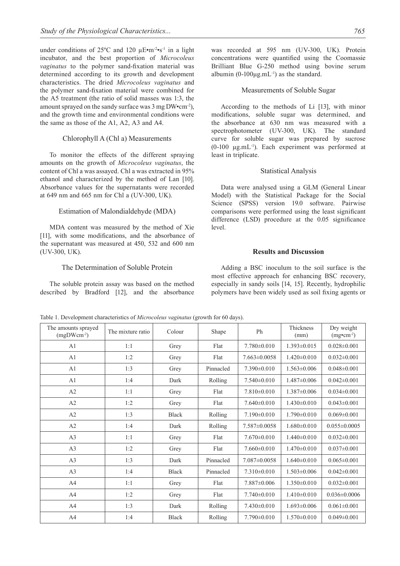under conditions of  $25^{\circ}$ C and 120  $\mu$ E•m<sup>-2</sup>•s<sup>-1</sup> in a light incubator, and the best proportion of *Microcoleus vaginatus* to the polymer sand-fixation material was determined according to its growth and development characteristics. The dried *Microcoleus vaginatus* and the polymer sand-fixation material were combined for the A5 treatment (the ratio of solid masses was 1:3, the amount sprayed on the sandy surface was 3 mg DW•cm-2), and the growth time and environmental conditions were the same as those of the A1, A2, A3 and A4.

#### Chlorophyll A (Chl a) Measurements

To monitor the effects of the different spraying amounts on the growth of *Microcoleus vaginatus*, the content of Chl a was assayed. Chl a was extracted in 95% ethanol and characterized by the method of Lan [10]. Absorbance values for the supernatants were recorded at 649 nm and 665 nm for Chl a (UV-300, UK).

#### Estimation of Malondialdehyde (MDA)

MDA content was measured by the method of Xie [11], with some modifications, and the absorbance of the supernatant was measured at 450, 532 and 600 nm (UV-300, UK).

#### The Determination of Soluble Protein

The soluble protein assay was based on the method described by Bradford [12], and the absorbance

was recorded at 595 nm (UV-300, UK). Protein concentrations were quantified using the Coomassie Brilliant Blue G-250 method using bovine serum albumin  $(0-100\mu g.mL^{-1})$  as the standard.

#### Measurements of Soluble Sugar

According to the methods of Li [13], with minor modifications, soluble sugar was determined, and the absorbance at 630 nm was measured with a spectrophotometer (UV-300, UK). The standard curve for soluble sugar was prepared by sucrose  $(0-100 \mu g.mL^{-1})$ . Each experiment was performed at least in triplicate.

#### Statistical Analysis

Data were analysed using a GLM (General Linear Model) with the Statistical Package for the Social Science (SPSS) version 19.0 software. Pairwise comparisons were performed using the least significant difference (LSD) procedure at the 0.05 significance level.

#### **Results and Discussion**

Adding a BSC inoculum to the soil surface is the most effective approach for enhancing BSC recovery, especially in sandy soils [14, 15]. Recently, hydrophilic polymers have been widely used as soil fixing agents or

| The amounts sprayed<br>$(mgDWcm-2)$ | The mixture ratio | Colour       | Shape     | Ph                | <b>Thickness</b><br>(mm) | Dry weight<br>$(mgocm-2)$ |
|-------------------------------------|-------------------|--------------|-----------|-------------------|--------------------------|---------------------------|
| A1                                  | 1:1               | Grey         | Flat      | $7.780 \pm 0.010$ | $1.393 \pm 0.015$        | $0.028 \pm 0.001$         |
| A1                                  | 1:2               | Grey         | Flat      | $7.663\pm0.0058$  | $1.420 \pm 0.010$        | $0.032 \pm 0.001$         |
| A1                                  | 1:3               | Grey         | Pinnacled | $7.390\pm0.010$   | $1.563 \pm 0.006$        | $0.048 \pm 0.001$         |
| A1                                  | 1:4               | Dark         | Rolling   | $7.540\pm0.010$   | $1.487\pm0.006$          | $0.042 \pm 0.001$         |
| A2                                  | 1:1               | Grey         | Flat      | $7.810\pm0.010$   | $1.387\pm0.006$          | $0.034\pm0.001$           |
| A2                                  | 1:2               | Grey         | Flat      | $7.640\pm0.010$   | $1.430\pm0.010$          | $0.043 \pm 0.001$         |
| A2                                  | 1:3               | <b>Black</b> | Rolling   | $7.190 \pm 0.010$ | $1.790 \pm 0.010$        | $0.069 \pm 0.001$         |
| A2                                  | 1:4               | Dark         | Rolling   | 7.587±0.0058      | $1.680\pm0.010$          | $0.055 \pm 0.0005$        |
| A3                                  | 1:1               | Grey         | Flat      | $7.670\pm0.010$   | $1.440\pm0.010$          | $0.032 \pm 0.001$         |
| A3                                  | 1:2               | Grey         | Flat      | $7.660\pm0.010$   | $1.470 \pm 0.010$        | $0.037 \pm 0.001$         |
| A3                                  | 1:3               | Dark         | Pinnacled | $7.087\pm0.0058$  | $1.640\pm0.010$          | $0.065 \pm 0.001$         |
| A3                                  | 1:4               | <b>Black</b> | Pinnacled | $7.310\pm0.010$   | $1.503 \pm 0.006$        | $0.042 \pm 0.001$         |
| A4                                  | 1:1               | Grey         | Flat      | 7.887±0.006       | $1.350\pm0.010$          | $0.032 \pm 0.001$         |
| A4                                  | 1:2               | Grey         | Flat      | $7.740 \pm 0.010$ | $1.410 \pm 0.010$        | $0.036 \pm 0.0006$        |
| A <sub>4</sub>                      | 1:3               | Dark         | Rolling   | $7.430\pm0.010$   | $1.693 \pm 0.006$        | $0.061 \pm 0.001$         |
| A4                                  | 1:4               | <b>Black</b> | Rolling   | $7.790 \pm 0.010$ | $1.570 \pm 0.010$        | $0.049 \pm 0.001$         |

Table 1. Development characteristics of *Microcoleus vaginatus* (growth for 60 days).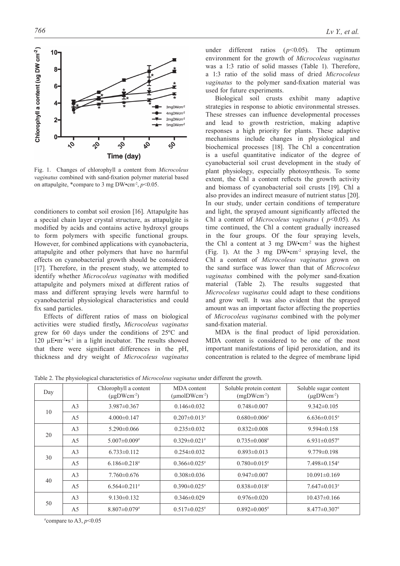

Fig. 1. Changes of chlorophyll a content from *Microcoleus vaginatus* combined with sand-fixation polymer material based on attapulgite, \*compare to 3 mg DW $\cdot$ cm<sup>-2</sup>, *p*<0.05.

conditioners to combat soil erosion [16]. Attapulgite has a special chain layer crystal structure, as attapulgite is modified by acids and contains active hydroxyl groups to form polymers with specific functional groups. However, for combined applications with cyanobacteria, attapulgite and other polymers that have no harmful effects on cyanobacterial growth should be considered [17]. Therefore, in the present study, we attempted to identify whether *Microcoleus vaginatus* with modified attapulgite and polymers mixed at different ratios of mass and different spraying levels were harmful to cyanobacterial physiological characteristics and could fix sand particles.

Effects of different ratios of mass on biological activities were studied firstly**,** *Microcoleus vaginatus* grew for 60 days under the conditions of 25ºC and 120  $\mu$ E•m<sup>-2</sup>•s<sup>-1</sup> in a light incubator. The results showed that there were significant differences in the pH, thickness and dry weight of *Microcoleus vaginatus*

under different ratios (*p*<0.05). The optimum environment for the growth of *Microcoleus vaginatus* was a 1:3 ratio of solid masses (Table 1). Therefore, a 1:3 ratio of the solid mass of dried *Microcoleus vaginatus* to the polymer sand-fixation material was used for future experiments.

Biological soil crusts exhibit many adaptive strategies in response to abiotic environmental stresses. These stresses can influence developmental processes and lead to growth restriction, making adaptive responses a high priority for plants. These adaptive mechanisms include changes in physiological and biochemical processes [18]. The Chl a concentration is a useful quantitative indicator of the degree of cyanobacterial soil crust development in the study of plant physiology, especially photosynthesis. To some extent, the Chl a content reflects the growth activity and biomass of cyanobacterial soil crusts [19]. Chl a also provides an indirect measure of nutrient status [20]. In our study, under certain conditions of temperature and light, the sprayed amount significantly affected the Chl a content of *Microcoleus vaginatus* ( *p*<0.05). As time continued, the Chl a content gradually increased in the four groups. Of the four spraying levels, the Chl a content at 3 mg  $DW^{\bullet}$ cm<sup>-2</sup> was the highest (Fig. 1). At the 3 mg DW•cm-2 spraying level, the Chl a content of *Microcoleus vaginatus* grown on the sand surface was lower than that of *Microcoleus vaginatus* combined with the polymer sand-fixation material (Table 2). The results suggested that *Microcoleus vaginatus* could adapt to these conditions and grow well. It was also evident that the sprayed amount was an important factor affecting the properties of *Microcoleus vaginatus* combined with the polymer sand-fixation material.

MDA is the final product of lipid peroxidation. MDA content is considered to be one of the most important manifestations of lipid peroxidation, and its concentration is related to the degree of membrane lipid

|  |  | Table 2. The physiological characteristics of Microcoleus vaginatus under different the growth. |  |  |  |  |  |  |
|--|--|-------------------------------------------------------------------------------------------------|--|--|--|--|--|--|
|--|--|-------------------------------------------------------------------------------------------------|--|--|--|--|--|--|

| Day |                | Chlorophyll a content<br>$(\mu$ gDWcm <sup>-2</sup> ) | MDA content<br>$(\mu$ molDWcm <sup>-2</sup> ) | Soluble protein content<br>$(mgDWcm-2)$ | Soluble sugar content<br>$(\mu$ gDWcm <sup>-2</sup> ) |
|-----|----------------|-------------------------------------------------------|-----------------------------------------------|-----------------------------------------|-------------------------------------------------------|
| 10  | A <sub>3</sub> | $3.987 \pm 0.367$                                     | $0.146 \pm 0.032$                             | $0.748 \pm 0.007$                       | $9.342 \pm 0.105$                                     |
|     | A <sub>5</sub> | $4.000 \pm 0.147$                                     | $0.207 \pm 0.013$ #                           | $0.680\pm0.006$ <sup>#</sup>            | $6.636 \pm 0.015$                                     |
|     | A <sub>3</sub> | $5.290 \pm 0.066$                                     | $0.235 \pm 0.032$                             | $0.832 \pm 0.008$                       | $9.594 \pm 0.158$                                     |
| 20  | A <sub>5</sub> | $5.007 \pm 0.009$ #                                   | $0.329 \pm 0.021$ #                           | $0.735 \pm 0.008$ #                     | $6.931 \pm 0.057$                                     |
|     | A <sub>3</sub> | $6.733 \pm 0.112$                                     | $0.254 \pm 0.032$                             | $0.893 \pm 0.013$                       | $9.779 \pm 0.198$                                     |
| 30  | A <sub>5</sub> | $6.186 \pm 0.218$ <sup>#</sup>                        | $0.366 \pm 0.025$                             | $0.780 \pm 0.015$                       | $7.498 \pm 0.154$                                     |
| 40  | A <sub>3</sub> | $7.760 \pm 0.676$                                     | $0.308 \pm 0.036$                             | $0.947 \pm 0.007$                       | $10.091 \pm 0.169$                                    |
|     | A <sub>5</sub> | $6.564 \pm 0.211$ <sup>#</sup>                        | $0.390 \pm 0.025$ #                           | $0.838 \pm 0.018$ #                     | $7.647 \pm 0.013$ #                                   |
| 50  | A <sub>3</sub> | $9.130\pm0.132$                                       | $0.346 \pm 0.029$                             | $0.976 \pm 0.020$                       | $10.437\pm0.166$                                      |
|     | A <sub>5</sub> | $8.807 \pm 0.079$ <sup>#</sup>                        | $0.517 \pm 0.025$ #                           | $0.892 \pm 0.005$ #                     | $8.477 \pm 0.307$                                     |

 $*$ compare to A3,  $p$ <0.05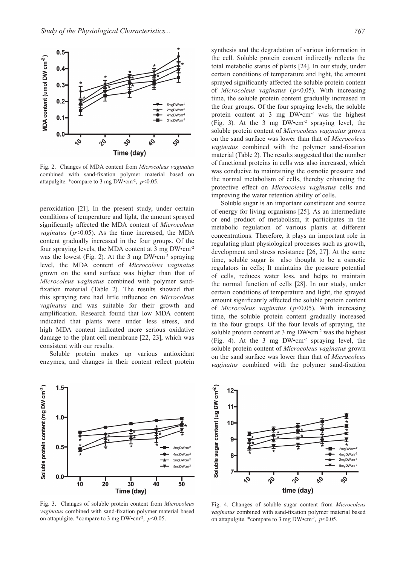

Fig. 2. Changes of MDA content from *Microcoleus vaginatus* combined with sand-fixation polymer material based on attapulgite. \*compare to 3 mg DW $\cdot$ cm<sup>-2</sup>, *p*<0.05.

peroxidation [21]. In the present study, under certain conditions of temperature and light, the amount sprayed significantly affected the MDA content of *Microcoleus vaginatus* ( $p$ <0.05). As the time increased, the MDA content gradually increased in the four groups. Of the four spraying levels, the MDA content at 3 mg DW•cm-2 was the lowest (Fig. 2). At the 3 mg  $DW$ •cm<sup>-2</sup> spraying level, the MDA content of *Microcoleus vaginatus*  grown on the sand surface was higher than that of *Microcoleus vaginatus* combined with polymer sandfixation material (Table 2). The results showed that this spraying rate had little influence on *Microcoleus vaginatus* and was suitable for their growth and amplification. Research found that low MDA content indicated that plants were under less stress, and high MDA content indicated more serious oxidative damage to the plant cell membrane [22, 23], which was consistent with our results.

Soluble protein makes up various antioxidant enzymes, and changes in their content reflect protein



Fig. 3. Changes of soluble protein content from *Microcoleus vaginatus* combined with sand-fixation polymer material based on attapulgite. \*compare to 3 mg DW $\cdot$ cm<sup>-2</sup>, *p*<0.05.

synthesis and the degradation of various information in the cell. Soluble protein content indirectly reflects the total metabolic status of plants [24]. In our study, under certain conditions of temperature and light, the amount sprayed significantly affected the soluble protein content of *Microcoleus vaginatus* (*p*<0.05). With increasing time, the soluble protein content gradually increased in the four groups. Of the four spraying levels, the soluble protein content at 3 mg  $DW^{\bullet}$ cm<sup>-2</sup> was the highest (Fig. 3). At the 3 mg  $DW$ •cm<sup>-2</sup> spraying level, the soluble protein content of *Microcoleus vaginatus* grown on the sand surface was lower than that of *Microcoleus vaginatus* combined with the polymer sand-fixation material (Table 2). The results suggested that the number of functional proteins in cells was also increased, which was conducive to maintaining the osmotic pressure and the normal metabolism of cells, thereby enhancing the protective effect on *Microcoleus vaginatus* cells and improving the water retention ability of cells.

Soluble sugar is an important constituent and source of energy for living organisms [25]. As an intermediate or end product of metabolism, it participates in the metabolic regulation of various plants at different concentrations. Therefore, it plays an important role in regulating plant physiological processes such as growth, development and stress resistance [26, 27]. At the same time, soluble sugar is also thought to be a osmotic regulators in cells; It maintains the pressure potential of cells, reduces water loss, and helps to maintain the normal function of cells [28]. In our study, under certain conditions of temperature and light, the sprayed amount significantly affected the soluble protein content of *Microcoleus vaginatus* (*p*<0.05). With increasing time, the soluble protein content gradually increased in the four groups. Of the four levels of spraying, the soluble protein content at 3 mg DW•cm<sup>-2</sup> was the highest (Fig. 4). At the 3 mg DW•cm-2 spraying level, the soluble protein content of *Microcoleus vaginatus* grown on the sand surface was lower than that of *Microcoleus vaginatus* combined with the polymer sand-fixation



Fig. 4. Changes of soluble sugar content from *Microcoleus vaginatus* combined with sand-fixation polymer material based on attapulgite. \*compare to 3 mg DW•cm<sup>-2</sup>,  $p$ <0.05.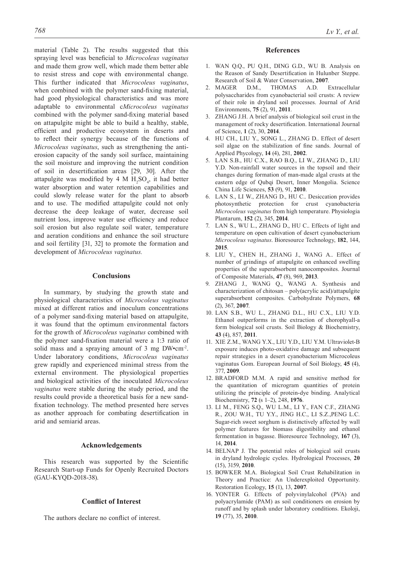material (Table 2). The results suggested that this spraying level was beneficial to *Microcoleus vaginatus* and made them grow well, which made them better able to resist stress and cope with environmental change. This further indicated that *Microcoleus vaginatus*, when combined with the polymer sand-fixing material, had good physiological characteristics and was more adaptable to environmental c*Microcoleus vaginatus* combined with the polymer sand-fixing material based on attapulgite might be able to build a healthy, stable, efficient and productive ecosystem in deserts and to reflect their synergy because of the functions of *Microcoleus vaginatus*, such as strengthening the antierosion capacity of the sandy soil surface, maintaining the soil moisture and improving the nutrient condition of soil in desertification areas [29, 30]. After the attapulgite was modified by 4 M  $H_2SO_4$ , it had better water absorption and water retention capabilities and could slowly release water for the plant to absorb and to use. The modified attapulgite could not only decrease the deep leakage of water, decrease soil nutrient loss, improve water use efficiency and reduce soil erosion but also regulate soil water, temperature and aeration conditions and enhance the soil structure and soil fertility [31, 32] to promote the formation and development of *Microcoleus vaginatus.*

# **Conclusions**

In summary, by studying the growth state and physiological characteristics of *Microcoleus vaginatus* mixed at different ratios and inoculum concentrations of a polymer sand-fixing material based on attapulgite, it was found that the optimum environmental factors for the growth of *Microcoleus vaginatus* combined with the polymer sand-fixation material were a 1:3 ratio of solid mass and a spraying amount of 3 mg DW•cm<sup>-2</sup>. Under laboratory conditions, *Microcoleus vaginatus* grew rapidly and experienced minimal stress from the external environment. The physiological properties and biological activities of the inoculated *Microcoleus vaginatus* were stable during the study period, and the results could provide a theoretical basis for a new sandfixation technology. The method presented here serves as another approach for combating desertification in arid and semiarid areas.

#### **Acknowledgements**

This research was supported by the Scientific Research Start-up Funds for Openly Recruited Doctors (GAU-KYQD-2018-38).

#### **Conflict of Interest**

The authors declare no conflict of interest.

#### **References**

- 1. WAN Q.Q., PU Q.H., DING G.D., WU B. Analysis on the Reason of Sandy Desertification in Hulunber Steppe. Research of Soil & Water Conservation, **2007**.
- 2. MAGER D.M., THOMAS A.D. Extracellular polysaccharides from cyanobacterial soil crusts: A review of their role in dryland soil processes. Journal of Arid Environments, **75** (2), 91, **2011**.
- 3. ZHANG J.H. A brief analysis of biological soil crust in the management of rocky desertification. International Journal of Science, **1** (2), 30, **2014**.
- 4. HU CH., LIU Y., SONG L., ZHANG D.. Effect of desert soil algae on the stabilization of fine sands. Journal of Applied Phycology, **14** (4), 281, **2002**.
- 5. LAN S.B., HU C.X., RAO B.Q., LI W., ZHANG D., LIU Y.D. Non-rainfall water sources in the topsoil and their changes during formation of man-made algal crusts at the eastern edge of Qubqi Desert, Inner Mongolia. Science China Life Sciences, **53** (9), 91, **2010**.
- 6. LAN S., LI W., ZHANG D., HU C.. Desiccation provides photosynthetic protection for crust cyanobacteria *Microcoleus vaginatus* from high temperature. Physiologia Plantarum, **152** (2), 345, **2014**.
- 7. LAN S., WU L., ZHANG D., HU C.. Effects of light and temperature on open cultivation of desert cyanobacterium *Microcoleus vaginatus*. Bioresource Technology, **182**, 144, **2015**.
- 8. LIU Y., CHEN H., ZHANG J., WANG A.. Effect of number of grindings of attapulgite on enhanced swelling properties of the superabsorbent nanocomposites. Journal of Composite Materials, **47** (8), 969, **2013**.
- 9. ZHANG J., WANG Q., WANG A. Synthesis and characterization of chitosan – poly(acrylic acid)/attapulgite superabsorbent composites. Carbohydrate Polymers, **68** (2), 367, **2007**.
- 10. LAN S.B., WU L., ZHANG D.L., HU C.X., LIU Y.D. Ethanol outperforms in the extraction of chorophyall-a form biological soil crusts. Soil Biology & Biochemistry, **43** (4), 857, **2011**.
- 11. XIE Z.M., WANG Y.X., LIU Y.D., LIU Y.M. Ultraviolet-B exposure induces photo-oxidative damage and subsequent repair strategies in a desert cyanobacterium Microcoleus vaginatus Gom. European Journal of Soil Biology, **45** (4), 377, **2009**.
- 12. BRADFORD M.M. A rapid and sensitive method for the quantitation of microgram quantities of protein utilizing the principle of protein-dye binding. Analytical Biochemistry, **72** (s 1–2), 248, **1976**.
- 13. LI M., FENG S.Q., WU L.M., LI Y., FAN C.F., ZHANG R., ZOU W.H., TU Y.Y., JING H.C., LI S.Z.,PENG L.C. Sugar-rich sweet sorghum is distinctively affected by wall polymer features for biomass digestibility and ethanol fermentation in bagasse. Bioresource Technology, **167** (3), 14, **2014**.
- 14. BELNAP J. The potential roles of biological soil crusts in dryland hydrologic cycles. Hydrological Processes, **20** (15), 3159, **2010**.
- 15. BOWKER M.A. Biological Soil Crust Rehabilitation in Theory and Practice: An Underexploited Opportunity. Restoration Ecology, **15** (1), 13, **2007**.
- 16. YONTER G. Effects of polyvinylalcohol (PVA) and polyacrylamide (PAM) as soil conditioners on erosion by runoff and by splash under laboratory conditions. Ekoloji, **19** (77), 35, **2010**.